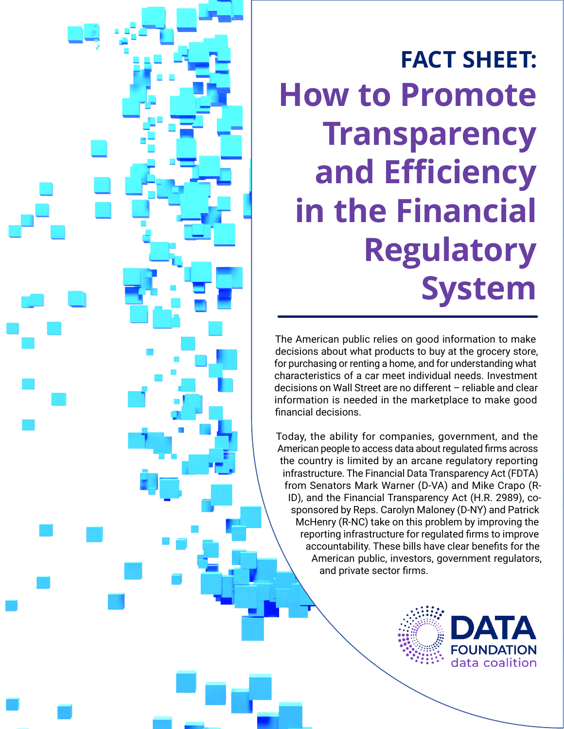# **FACT SHEET: How to Promote Transparency and Efficiency in the Financial Regulatory System**

The American public relies on good information to make decisions about what products to buy at the grocery store, for purchasing or renting a home, and for understanding what characteristics of a car meet individual needs. Investment decisions on Wall Street are no different – reliable and clear information is needed in the marketplace to make good financial decisions.

Today, the ability for companies, government, and the American people to access data about regulated firms across the country is limited by an arcane regulatory reporting infrastructure. The Financial Data Transparency Act (FDTA) from Senators Mark Warner (D-VA) and Mike Crapo (R-ID), and the Financial Transparency Act (H.R. 2989), cosponsored by Reps. Carolyn Maloney (D-NY) and Patrick McHenry (R-NC) take on this problem by improving the reporting infrastructure for regulated firms to improve accountability. These bills have clear benefits for the American public, investors, government regulators, and private sector firms.